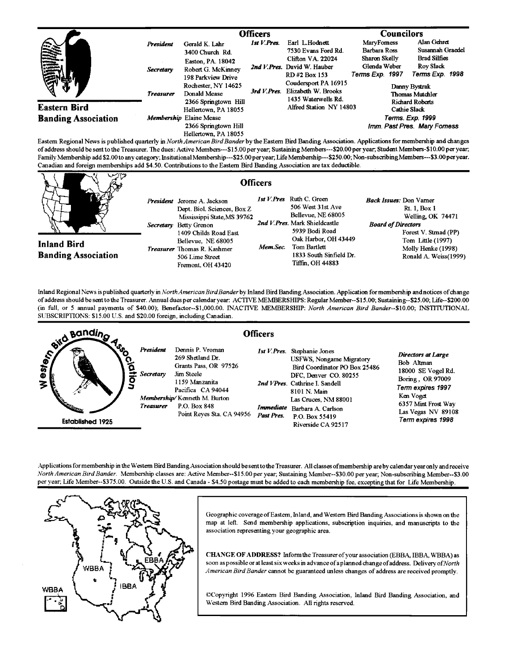|                                                                                                                                                                               |                  | <b>Officers</b>                                               |             |                                                                    | <b>Councilors</b>                                          |                                                     |
|-------------------------------------------------------------------------------------------------------------------------------------------------------------------------------|------------------|---------------------------------------------------------------|-------------|--------------------------------------------------------------------|------------------------------------------------------------|-----------------------------------------------------|
| <b>CONTROLLED</b>                                                                                                                                                             | <b>President</b> | Gerald K. Lahr<br>3400 Church Rd.                             | 1st V.Pres. | Earl L.Hodnett<br>7530 Evans Ford Rd.                              | MaryForness<br>Barbara Ross                                | Alan Gehret<br>Susannah Graedel                     |
|                                                                                                                                                                               | <b>Secretary</b> | Easton, PA. 18042<br>Robert G. McKinney<br>198 Parkview Drive |             | Clifton VA. 22024<br>2nd V.Pres. David W. Hauber<br>RD#2 Box 153   | Sharon Skelly<br>Glenda Weber<br>Terms Exp. 1997           | <b>Brad Silfies</b><br>Roy Slack<br>Terms Exp. 1998 |
|                                                                                                                                                                               | <b>Treasurer</b> | Rochester, NY 14625<br>Donald Mease<br>2366 Springtown Hill   | 3rd V.Pres. | Coudersport PA 16915<br>Elizabeth W. Brooks<br>1435 Waterwells Rd. | Danny Bystrak<br>Thomas Mutchler<br><b>Richard Roberts</b> |                                                     |
| <b>Eastern Bird</b>                                                                                                                                                           |                  | Hellertown, PA 18055                                          |             | Alfred Station NY 14803                                            |                                                            | <b>Cathie Slack</b>                                 |
| <b>Banding Association</b><br>Existing Barton of Marie Land Hotel de montante in Marie Marting Died Barton barden Died Barton Annahisting Anglications Composition and shapes |                  | Membership Elaine Mease                                       |             |                                                                    | Terms. Exp. 1999                                           |                                                     |
|                                                                                                                                                                               |                  | 2366 Springtown Hill<br>Hellertown, PA 18055                  |             |                                                                    |                                                            | Imm. Past Pres. Mary Forness                        |

Eastern Regional News is published quarterly in *North American Bird Bander* by the Eastern Bird Banding Association. Applications for membership and changes of address should be sent to the Treasurer. The dues: Active Members---\$15.00 per year, Sustaining Members---\$20.00 per year, Student Members-\$10.00 per year, Family Membership add \$2.00 to any category; Insitutional Membership---\$25.00 per year; Life Membership---\$250.00; Non-subscribing Members---\$3.00 per year. **Canadian and foreign memberships add \$4.50. Contributions tothe Eastern Bird Banding Association are tax deductible.** 

| $\sqrt{y}$                                       | <b>Officers</b>                                                                                                                                                                                                                                         |                                                                                                                                                                                                                                  |                                                                                                                                                                                            |
|--------------------------------------------------|---------------------------------------------------------------------------------------------------------------------------------------------------------------------------------------------------------------------------------------------------------|----------------------------------------------------------------------------------------------------------------------------------------------------------------------------------------------------------------------------------|--------------------------------------------------------------------------------------------------------------------------------------------------------------------------------------------|
| <b>Inland Bird</b><br><b>Banding Association</b> | <b>President</b> Jerome A. Jackson<br>Dept. Biol. Sciences, Box Z<br>Mississippi State, MS 39762<br>Secretary Betty Grenon<br>1409 Childs Road East<br>Bellevue, NE 68005<br><b>Treasurer</b> Thomas R. Kashmer<br>506 Lime Street<br>Fremont, OH 43420 | <b>Ist V.Pres</b> Ruth C. Green<br>506 West 31st Ave<br>Bellevue, NE 68005<br>2nd V.Pres. Mark Shieldcastle<br>5939 Bodi Road<br>Oak Harbor, OH 43449<br>Mem Sec.<br>Tom Bartlett<br>1833 South Sinfield Dr.<br>Tiffin. OH 44883 | <i>Back Issues:</i> Don Vamer<br>Rt. 1, Box 1<br>Welling OK 74471<br><b>Board of Directors</b><br>Forest V. Stmad (PP)<br>Tom Little (1997)<br>Molly Henke (1998)<br>Ronald A. Weiss(1999) |

Inland Regional News is published quarterly in North American Bird Bander by Inland Bird Banding Association. Application for membership and notices of change **of address should be sent tothe Treasurer. Annual dues per calendar year: ACTIVE MEMBERSHIPS: Regular Member--\$15.00; Sustaining--S25.00; Life--S200.00 (in full, or 5 annual payments of \$40.00); Benefactor--S1.000.00. INAC'FIVE MEMBERSHIP: North American Bird Bander--S10.00; INSTITUTIONAL SUBSCRIPTIONS: \$15.00 U.S. and \$20.00 foreign, including Canadian.** 



**Applications formemberhip m the Western Bird Banding Association should be senttothe Treasurer. All classes ofmembership are by calendar year only and receive**  North American Bird Bander. Membership classes are: Active Member--\$15.00 per year; Sustaining Member--\$30.00 per year; Non-subscribing Member--\$3.00 **per year; Life Member--S375.00. Outside the U.S. and Canada - \$4.50 postage must be added to each membership fee, excepting that for Life Membership.** 



**Geographic coverage of Eastem, Inland, and Western Bird Banding Associations is shown on the**  map at left. Send membership applications, subscription inquiries, and manuscripts to the **association representing your geographic area.** 

**CHANGE OF ADDRESS? Informthe Treasurer of your association (EBBA, IBBA, WBBA) as**  soon as possible or at least six weeks in advance of a planned change of address. Delivery of North **American Bird Bander cannot be guaranteed unless changes of address are received promptly.** 

**•Copyright 1996 Eastern Bird Banding Association, Inland Bird Banding Association, and Western Bird Banding Association. All rights reserved.**